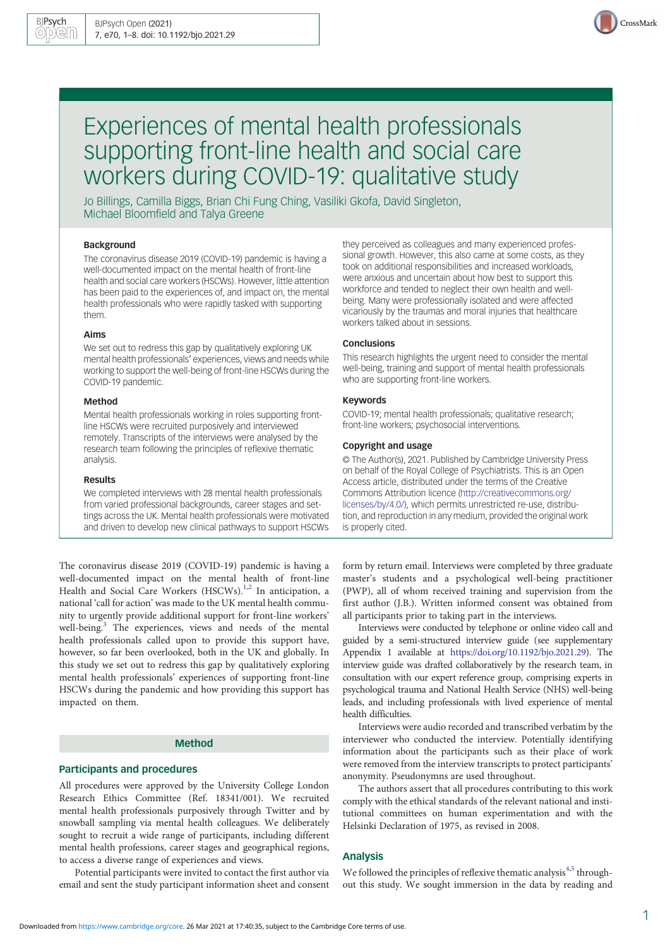

# Experiences of mental health professionals supporting front-line health and social care workers during COVID-19: qualitative study

Jo Billings, Camilla Biggs, Brian Chi Fung Ching, Vasiliki Gkofa, David Singleton, Michael Bloomfield and Talya Greene

## Background

The coronavirus disease 2019 (COVID-19) pandemic is having a well-documented impact on the mental health of front-line health and social care workers (HSCWs). However, little attention has been paid to the experiences of, and impact on, the mental health professionals who were rapidly tasked with supporting them.

#### Aims

We set out to redress this gap by qualitatively exploring UK mental health professionals' experiences, views and needs while working to support the well-being of front-line HSCWs during the COVID-19 pandemic.

#### Method

Mental health professionals working in roles supporting frontline HSCWs were recruited purposively and interviewed remotely. Transcripts of the interviews were analysed by the research team following the principles of reflexive thematic analysis.

#### Results

We completed interviews with 28 mental health professionals from varied professional backgrounds, career stages and settings across the UK. Mental health professionals were motivated and driven to develop new clinical pathways to support HSCWs

The coronavirus disease 2019 (COVID-19) pandemic is having a well-documented impact on the mental health of front-line Health and Social Care Workers (HSCWs).<sup>1,[2](#page-6-0)</sup> In anticipation, a national 'call for action' was made to the UK mental health community to urgently provide additional support for front-line workers' well-being.<sup>[3](#page-7-0)</sup> The experiences, views and needs of the mental health professionals called upon to provide this support have, however, so far been overlooked, both in the UK and globally. In this study we set out to redress this gap by qualitatively exploring mental health professionals' experiences of supporting front-line HSCWs during the pandemic and how providing this support has impacted on them.

# Method

## Participants and procedures

All procedures were approved by the University College London Research Ethics Committee (Ref. 18341/001). We recruited mental health professionals purposively through Twitter and by snowball sampling via mental health colleagues. We deliberately sought to recruit a wide range of participants, including different mental health professions, career stages and geographical regions, to access a diverse range of experiences and views.

Potential participants were invited to contact the first author via email and sent the study participant information sheet and consent they perceived as colleagues and many experienced professional growth. However, this also came at some costs, as they took on additional responsibilities and increased workloads, were anxious and uncertain about how best to support this workforce and tended to neglect their own health and wellbeing. Many were professionally isolated and were affected vicariously by the traumas and moral injuries that healthcare workers talked about in sessions.

#### **Conclusions**

This research highlights the urgent need to consider the mental well-being, training and support of mental health professionals who are supporting front-line workers.

### Keywords

COVID-19; mental health professionals; qualitative research; front-line workers; psychosocial interventions.

#### Copyright and usage

© The Author(s), 2021. Published by Cambridge University Press on behalf of the Royal College of Psychiatrists. This is an Open Access article, distributed under the terms of the Creative Commons Attribution licence [\(http://creativecommons.org/](http://creativecommons.org/licenses/by/4.0/) [licenses/by/4.0/](http://creativecommons.org/licenses/by/4.0/)), which permits unrestricted re-use, distribution, and reproduction in any medium, provided the original work is properly cited.

form by return email. Interviews were completed by three graduate master's students and a psychological well-being practitioner (PWP), all of whom received training and supervision from the first author (J.B.). Written informed consent was obtained from all participants prior to taking part in the interviews.

Interviews were conducted by telephone or online video call and guided by a semi-structured interview guide (see supplementary Appendix 1 available at [https://doi.org/10.1192/bjo.2021.29\)](https://doi.org/10.1192/bjo.2021.29). The interview guide was drafted collaboratively by the research team, in consultation with our expert reference group, comprising experts in psychological trauma and National Health Service (NHS) well-being leads, and including professionals with lived experience of mental health difficulties.

Interviews were audio recorded and transcribed verbatim by the interviewer who conducted the interview. Potentially identifying information about the participants such as their place of work were removed from the interview transcripts to protect participants' anonymity. Pseudonymns are used throughout.

The authors assert that all procedures contributing to this work comply with the ethical standards of the relevant national and institutional committees on human experimentation and with the Helsinki Declaration of 1975, as revised in 2008.

#### Analysis

We followed the principles of reflexive thematic analysis $4,5$  throughout this study. We sought immersion in the data by reading and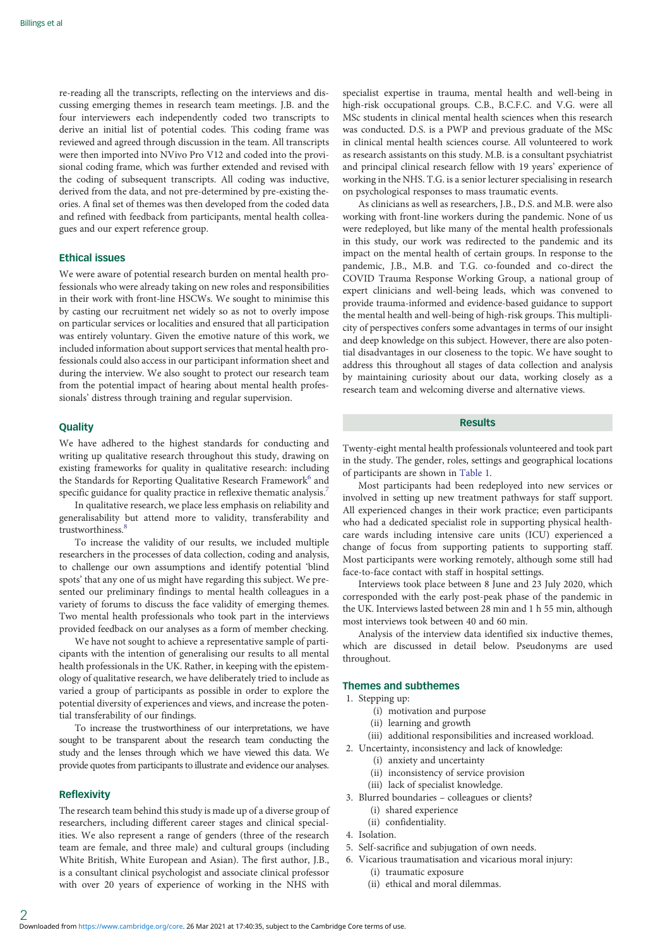re-reading all the transcripts, reflecting on the interviews and discussing emerging themes in research team meetings. J.B. and the four interviewers each independently coded two transcripts to derive an initial list of potential codes. This coding frame was reviewed and agreed through discussion in the team. All transcripts were then imported into NVivo Pro V12 and coded into the provisional coding frame, which was further extended and revised with the coding of subsequent transcripts. All coding was inductive, derived from the data, and not pre-determined by pre-existing theories. A final set of themes was then developed from the coded data and refined with feedback from participants, mental health colleagues and our expert reference group.

#### Ethical issues

We were aware of potential research burden on mental health professionals who were already taking on new roles and responsibilities in their work with front-line HSCWs. We sought to minimise this by casting our recruitment net widely so as not to overly impose on particular services or localities and ensured that all participation was entirely voluntary. Given the emotive nature of this work, we included information about support services that mental health professionals could also access in our participant information sheet and during the interview. We also sought to protect our research team from the potential impact of hearing about mental health professionals' distress through training and regular supervision.

#### **Quality**

We have adhered to the highest standards for conducting and writing up qualitative research throughout this study, drawing on existing frameworks for quality in qualitative research: including the Standards for Reporting Qualitative Research Framework<sup>6</sup> and specific guidance for quality practice in reflexive thematic analysis.<sup>7</sup>

In qualitative research, we place less emphasis on reliability and generalisability but attend more to validity, transferability and trustworthiness.<sup>[8](#page-7-0)</sup>

To increase the validity of our results, we included multiple researchers in the processes of data collection, coding and analysis, to challenge our own assumptions and identify potential 'blind spots' that any one of us might have regarding this subject. We presented our preliminary findings to mental health colleagues in a variety of forums to discuss the face validity of emerging themes. Two mental health professionals who took part in the interviews provided feedback on our analyses as a form of member checking.

We have not sought to achieve a representative sample of participants with the intention of generalising our results to all mental health professionals in the UK. Rather, in keeping with the epistemology of qualitative research, we have deliberately tried to include as varied a group of participants as possible in order to explore the potential diversity of experiences and views, and increase the potential transferability of our findings.

To increase the trustworthiness of our interpretations, we have sought to be transparent about the research team conducting the study and the lenses through which we have viewed this data. We provide quotes from participants to illustrate and evidence our analyses.

## Reflexivity

The research team behind this study is made up of a diverse group of researchers, including different career stages and clinical specialities. We also represent a range of genders (three of the research team are female, and three male) and cultural groups (including White British, White European and Asian). The first author, J.B., is a consultant clinical psychologist and associate clinical professor with over 20 years of experience of working in the NHS with

specialist expertise in trauma, mental health and well-being in high-risk occupational groups. C.B., B.C.F.C. and V.G. were all MSc students in clinical mental health sciences when this research was conducted. D.S. is a PWP and previous graduate of the MSc in clinical mental health sciences course. All volunteered to work as research assistants on this study. M.B. is a consultant psychiatrist and principal clinical research fellow with 19 years' experience of working in the NHS. T.G. is a senior lecturer specialising in research on psychological responses to mass traumatic events.

As clinicians as well as researchers, J.B., D.S. and M.B. were also working with front-line workers during the pandemic. None of us were redeployed, but like many of the mental health professionals in this study, our work was redirected to the pandemic and its impact on the mental health of certain groups. In response to the pandemic, J.B., M.B. and T.G. co-founded and co-direct the COVID Trauma Response Working Group, a national group of expert clinicians and well-being leads, which was convened to provide trauma-informed and evidence-based guidance to support the mental health and well-being of high-risk groups. This multiplicity of perspectives confers some advantages in terms of our insight and deep knowledge on this subject. However, there are also potential disadvantages in our closeness to the topic. We have sought to address this throughout all stages of data collection and analysis by maintaining curiosity about our data, working closely as a research team and welcoming diverse and alternative views.

#### Results

Twenty-eight mental health professionals volunteered and took part in the study. The gender, roles, settings and geographical locations of participants are shown in [Table 1](#page-2-0).

Most participants had been redeployed into new services or involved in setting up new treatment pathways for staff support. All experienced changes in their work practice; even participants who had a dedicated specialist role in supporting physical healthcare wards including intensive care units (ICU) experienced a change of focus from supporting patients to supporting staff. Most participants were working remotely, although some still had face-to-face contact with staff in hospital settings.

Interviews took place between 8 June and 23 July 2020, which corresponded with the early post-peak phase of the pandemic in the UK. Interviews lasted between 28 min and 1 h 55 min, although most interviews took between 40 and 60 min.

Analysis of the interview data identified six inductive themes, which are discussed in detail below. Pseudonyms are used throughout.

## Themes and subthemes

- 1. Stepping up:
	- (i) motivation and purpose
	- (ii) learning and growth
	- (iii) additional responsibilities and increased workload.
- 2. Uncertainty, inconsistency and lack of knowledge:
	- (i) anxiety and uncertainty
	- (ii) inconsistency of service provision
	- (iii) lack of specialist knowledge.
- 3. Blurred boundaries colleagues or clients?
	- (i) shared experience
	- (ii) confidentiality.
- 4. Isolation.
- 5. Self-sacrifice and subjugation of own needs.
- 6. Vicarious traumatisation and vicarious moral injury:
	- (i) traumatic exposure
	- (ii) ethical and moral dilemmas.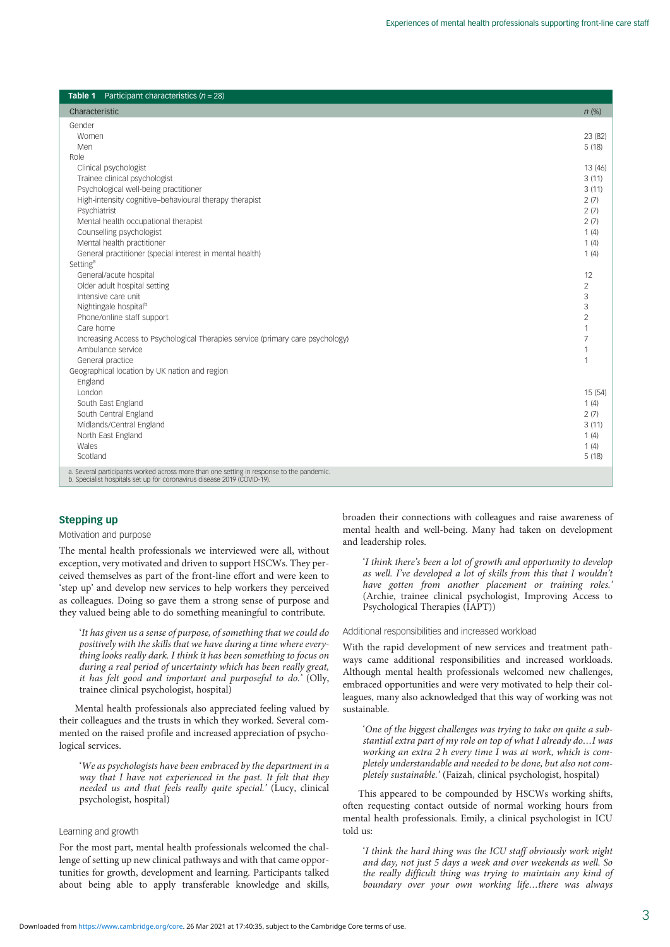<span id="page-2-0"></span>

| <b>Table 1</b> Participant characteristics $(n = 28)$                                                                                                               |                |
|---------------------------------------------------------------------------------------------------------------------------------------------------------------------|----------------|
| Characteristic                                                                                                                                                      | $n$ (%)        |
| Gender                                                                                                                                                              |                |
| Women                                                                                                                                                               | 23 (82)        |
| Men                                                                                                                                                                 | 5(18)          |
| Role                                                                                                                                                                |                |
| Clinical psychologist                                                                                                                                               | 13 (46)        |
| Trainee clinical psychologist                                                                                                                                       | 3(11)          |
| Psychological well-being practitioner                                                                                                                               | 3(11)          |
| High-intensity cognitive-behavioural therapy therapist                                                                                                              | 2(7)           |
| Psychiatrist                                                                                                                                                        | 2(7)           |
| Mental health occupational therapist                                                                                                                                | 2(7)           |
| Counselling psychologist                                                                                                                                            | 1(4)           |
| Mental health practitioner                                                                                                                                          | 1(4)           |
| General practitioner (special interest in mental health)                                                                                                            | 1(4)           |
| Setting <sup>a</sup>                                                                                                                                                |                |
| General/acute hospital                                                                                                                                              | 12             |
| Older adult hospital setting                                                                                                                                        | $\overline{2}$ |
| Intensive care unit                                                                                                                                                 | 3              |
| Nightingale hospital <sup>b</sup>                                                                                                                                   | 3              |
| Phone/online staff support                                                                                                                                          | $\overline{2}$ |
| Care home                                                                                                                                                           | 1              |
| Increasing Access to Psychological Therapies service (primary care psychology)                                                                                      | $\overline{7}$ |
| Ambulance service                                                                                                                                                   | 1              |
| General practice                                                                                                                                                    | 1              |
| Geographical location by UK nation and region                                                                                                                       |                |
| England                                                                                                                                                             |                |
| I ondon                                                                                                                                                             | 15(54)         |
| South East England                                                                                                                                                  | 1(4)           |
| South Central England                                                                                                                                               | 2(7)           |
| Midlands/Central England                                                                                                                                            | 3(11)          |
| North East England                                                                                                                                                  | 1(4)           |
| Wales                                                                                                                                                               | 1(4)           |
| Scotland                                                                                                                                                            | 5(18)          |
| a. Several participants worked across more than one setting in response to the pandemic.<br>b. Specialist hospitals set up for coronavirus disease 2019 (COVID-19). |                |

## Stepping up

#### Motivation and purpose

The mental health professionals we interviewed were all, without exception, very motivated and driven to support HSCWs. They perceived themselves as part of the front-line effort and were keen to 'step up' and develop new services to help workers they perceived as colleagues. Doing so gave them a strong sense of purpose and they valued being able to do something meaningful to contribute.

'It has given us a sense of purpose, of something that we could do positively with the skills that we have during a time where everything looks really dark. I think it has been something to focus on during a real period of uncertainty which has been really great, it has felt good and important and purposeful to do.' (Olly, trainee clinical psychologist, hospital)

Mental health professionals also appreciated feeling valued by their colleagues and the trusts in which they worked. Several commented on the raised profile and increased appreciation of psychological services.

'We as psychologists have been embraced by the department in a way that I have not experienced in the past. It felt that they needed us and that feels really quite special.' (Lucy, clinical psychologist, hospital)

## Learning and growth

For the most part, mental health professionals welcomed the challenge of setting up new clinical pathways and with that came opportunities for growth, development and learning. Participants talked about being able to apply transferable knowledge and skills, broaden their connections with colleagues and raise awareness of mental health and well-being. Many had taken on development and leadership roles.

'I think there's been a lot of growth and opportunity to develop as well. I've developed a lot of skills from this that I wouldn't have gotten from another placement or training roles.' (Archie, trainee clinical psychologist, Improving Access to Psychological Therapies (IAPT))

#### Additional responsibilities and increased workload

With the rapid development of new services and treatment pathways came additional responsibilities and increased workloads. Although mental health professionals welcomed new challenges, embraced opportunities and were very motivated to help their colleagues, many also acknowledged that this way of working was not sustainable.

'One of the biggest challenges was trying to take on quite a substantial extra part of my role on top of what I already do…I was working an extra 2 h every time I was at work, which is completely understandable and needed to be done, but also not completely sustainable.' (Faizah, clinical psychologist, hospital)

This appeared to be compounded by HSCWs working shifts, often requesting contact outside of normal working hours from mental health professionals. Emily, a clinical psychologist in ICU told us:

'I think the hard thing was the ICU staff obviously work night and day, not just 5 days a week and over weekends as well. So the really difficult thing was trying to maintain any kind of boundary over your own working life…there was always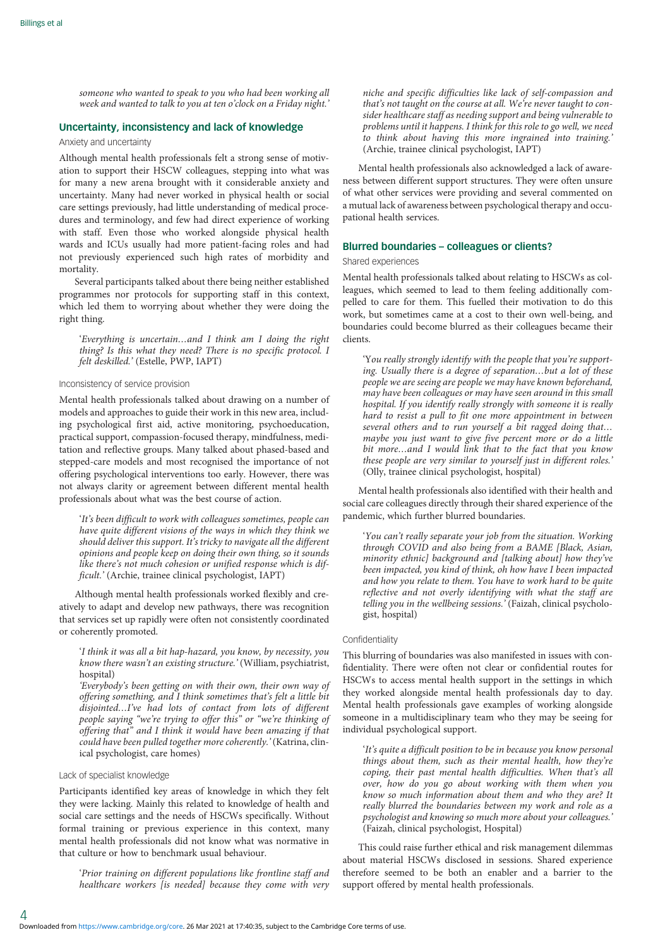someone who wanted to speak to you who had been working all week and wanted to talk to you at ten o'clock on a Friday night.'

## Uncertainty, inconsistency and lack of knowledge

## Anxiety and uncertainty

Although mental health professionals felt a strong sense of motivation to support their HSCW colleagues, stepping into what was for many a new arena brought with it considerable anxiety and uncertainty. Many had never worked in physical health or social care settings previously, had little understanding of medical procedures and terminology, and few had direct experience of working with staff. Even those who worked alongside physical health wards and ICUs usually had more patient-facing roles and had not previously experienced such high rates of morbidity and mortality.

Several participants talked about there being neither established programmes nor protocols for supporting staff in this context, which led them to worrying about whether they were doing the right thing.

'Everything is uncertain…and I think am I doing the right thing? Is this what they need? There is no specific protocol. I felt deskilled.' (Estelle, PWP, IAPT)

#### Inconsistency of service provision

Mental health professionals talked about drawing on a number of models and approaches to guide their work in this new area, including psychological first aid, active monitoring, psychoeducation, practical support, compassion-focused therapy, mindfulness, meditation and reflective groups. Many talked about phased-based and stepped-care models and most recognised the importance of not offering psychological interventions too early. However, there was not always clarity or agreement between different mental health professionals about what was the best course of action.

'It's been difficult to work with colleagues sometimes, people can have quite different visions of the ways in which they think we should deliver this support. It's tricky to navigate all the different opinions and people keep on doing their own thing, so it sounds like there's not much cohesion or unified response which is difficult.' (Archie, trainee clinical psychologist, IAPT)

Although mental health professionals worked flexibly and creatively to adapt and develop new pathways, there was recognition that services set up rapidly were often not consistently coordinated or coherently promoted.

'I think it was all a bit hap-hazard, you know, by necessity, you know there wasn't an existing structure.' (William, psychiatrist, hospital)

'Everybody's been getting on with their own, their own way of offering something, and I think sometimes that's felt a little bit disjointed…I've had lots of contact from lots of different people saying "we're trying to offer this" or "we're thinking of offering that" and I think it would have been amazing if that could have been pulled together more coherently.' (Katrina, clinical psychologist, care homes)

#### Lack of specialist knowledge

Participants identified key areas of knowledge in which they felt they were lacking. Mainly this related to knowledge of health and social care settings and the needs of HSCWs specifically. Without formal training or previous experience in this context, many mental health professionals did not know what was normative in that culture or how to benchmark usual behaviour.

'Prior training on different populations like frontline staff and healthcare workers [is needed] because they come with very niche and specific difficulties like lack of self-compassion and that's not taught on the course at all. We're never taught to consider healthcare staff as needing support and being vulnerable to problems until it happens. I think for this role to go well, we need to think about having this more ingrained into training.' (Archie, trainee clinical psychologist, IAPT)

Mental health professionals also acknowledged a lack of awareness between different support structures. They were often unsure of what other services were providing and several commented on a mutual lack of awareness between psychological therapy and occupational health services.

#### Blurred boundaries – colleagues or clients?

#### Shared experiences

Mental health professionals talked about relating to HSCWs as colleagues, which seemed to lead to them feeling additionally compelled to care for them. This fuelled their motivation to do this work, but sometimes came at a cost to their own well-being, and boundaries could become blurred as their colleagues became their clients.

'You really strongly identify with the people that you're supporting. Usually there is a degree of separation…but a lot of these people we are seeing are people we may have known beforehand, may have been colleagues or may have seen around in this small hospital. If you identify really strongly with someone it is really hard to resist a pull to fit one more appointment in between several others and to run yourself a bit ragged doing that… maybe you just want to give five percent more or do a little bit more…and I would link that to the fact that you know these people are very similar to yourself just in different roles.' (Olly, trainee clinical psychologist, hospital)

Mental health professionals also identified with their health and social care colleagues directly through their shared experience of the pandemic, which further blurred boundaries.

'You can't really separate your job from the situation. Working through COVID and also being from a BAME [Black, Asian, minority ethnic] background and [talking about] how they've been impacted, you kind of think, oh how have I been impacted and how you relate to them. You have to work hard to be quite reflective and not overly identifying with what the staff are telling you in the wellbeing sessions.' (Faizah, clinical psychologist, hospital)

#### Confidentiality

This blurring of boundaries was also manifested in issues with confidentiality. There were often not clear or confidential routes for HSCWs to access mental health support in the settings in which they worked alongside mental health professionals day to day. Mental health professionals gave examples of working alongside someone in a multidisciplinary team who they may be seeing for individual psychological support.

'It's quite a difficult position to be in because you know personal things about them, such as their mental health, how they're coping, their past mental health difficulties. When that's all over, how do you go about working with them when you know so much information about them and who they are? It really blurred the boundaries between my work and role as a psychologist and knowing so much more about your colleagues.' (Faizah, clinical psychologist, Hospital)

This could raise further ethical and risk management dilemmas about material HSCWs disclosed in sessions. Shared experience therefore seemed to be both an enabler and a barrier to the support offered by mental health professionals.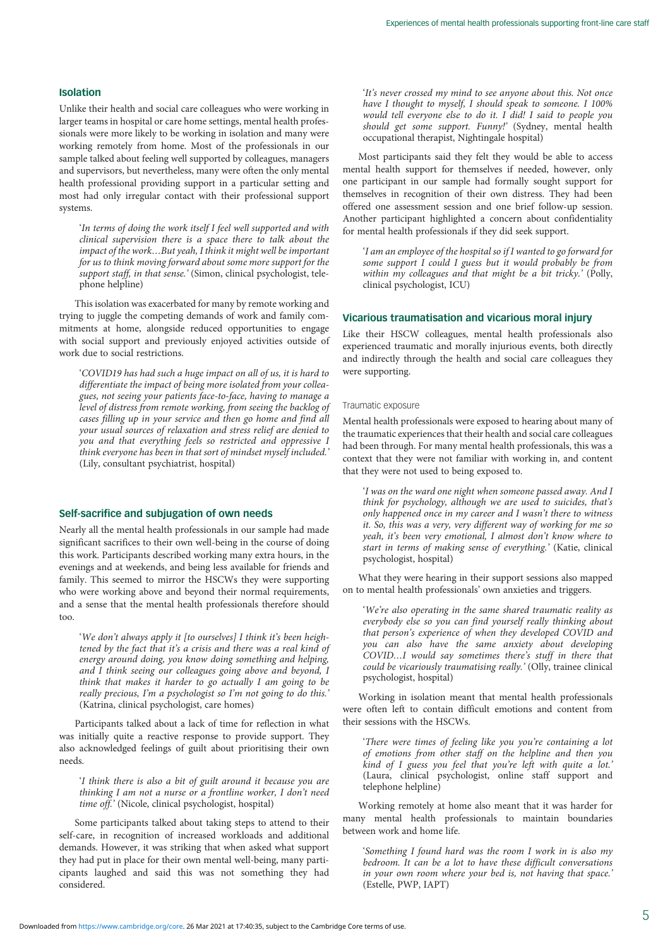## Isolation

Unlike their health and social care colleagues who were working in larger teams in hospital or care home settings, mental health professionals were more likely to be working in isolation and many were working remotely from home. Most of the professionals in our sample talked about feeling well supported by colleagues, managers and supervisors, but nevertheless, many were often the only mental health professional providing support in a particular setting and most had only irregular contact with their professional support systems.

'In terms of doing the work itself I feel well supported and with clinical supervision there is a space there to talk about the impact of the work…But yeah, I think it might well be important for us to think moving forward about some more support for the support staff, in that sense.' (Simon, clinical psychologist, telephone helpline)

This isolation was exacerbated for many by remote working and trying to juggle the competing demands of work and family commitments at home, alongside reduced opportunities to engage with social support and previously enjoyed activities outside of work due to social restrictions.

'COVID19 has had such a huge impact on all of us, it is hard to differentiate the impact of being more isolated from your colleagues, not seeing your patients face-to-face, having to manage a level of distress from remote working, from seeing the backlog of cases filling up in your service and then go home and find all your usual sources of relaxation and stress relief are denied to you and that everything feels so restricted and oppressive I think everyone has been in that sort of mindset myself included.' (Lily, consultant psychiatrist, hospital)

#### Self-sacrifice and subjugation of own needs

Nearly all the mental health professionals in our sample had made significant sacrifices to their own well-being in the course of doing this work. Participants described working many extra hours, in the evenings and at weekends, and being less available for friends and family. This seemed to mirror the HSCWs they were supporting who were working above and beyond their normal requirements, and a sense that the mental health professionals therefore should too.

'We don't always apply it [to ourselves] I think it's been heightened by the fact that it's a crisis and there was a real kind of energy around doing, you know doing something and helping, and I think seeing our colleagues going above and beyond, I think that makes it harder to go actually I am going to be really precious, I'm a psychologist so I'm not going to do this.' (Katrina, clinical psychologist, care homes)

Participants talked about a lack of time for reflection in what was initially quite a reactive response to provide support. They also acknowledged feelings of guilt about prioritising their own needs.

'I think there is also a bit of guilt around it because you are thinking I am not a nurse or a frontline worker, I don't need time off.' (Nicole, clinical psychologist, hospital)

Some participants talked about taking steps to attend to their self-care, in recognition of increased workloads and additional demands. However, it was striking that when asked what support they had put in place for their own mental well-being, many participants laughed and said this was not something they had considered.

'It's never crossed my mind to see anyone about this. Not once have I thought to myself, I should speak to someone. I 100% would tell everyone else to do it. I did! I said to people you should get some support. Funny!' (Sydney, mental health occupational therapist, Nightingale hospital)

Most participants said they felt they would be able to access mental health support for themselves if needed, however, only one participant in our sample had formally sought support for themselves in recognition of their own distress. They had been offered one assessment session and one brief follow-up session. Another participant highlighted a concern about confidentiality for mental health professionals if they did seek support.

'I am an employee of the hospital so if I wanted to go forward for some support I could I guess but it would probably be from within my colleagues and that might be a bit tricky.' (Polly, clinical psychologist, ICU)

## Vicarious traumatisation and vicarious moral injury

Like their HSCW colleagues, mental health professionals also experienced traumatic and morally injurious events, both directly and indirectly through the health and social care colleagues they were supporting.

#### Traumatic exposure

Mental health professionals were exposed to hearing about many of the traumatic experiences that their health and social care colleagues had been through. For many mental health professionals, this was a context that they were not familiar with working in, and content that they were not used to being exposed to.

'I was on the ward one night when someone passed away. And I think for psychology, although we are used to suicides, that's only happened once in my career and I wasn't there to witness it. So, this was a very, very different way of working for me so yeah, it's been very emotional, I almost don't know where to start in terms of making sense of everything.' (Katie, clinical psychologist, hospital)

What they were hearing in their support sessions also mapped on to mental health professionals' own anxieties and triggers.

'We're also operating in the same shared traumatic reality as everybody else so you can find yourself really thinking about that person's experience of when they developed COVID and you can also have the same anxiety about developing COVID…I would say sometimes there's stuff in there that could be vicariously traumatising really.' (Olly, trainee clinical psychologist, hospital)

Working in isolation meant that mental health professionals were often left to contain difficult emotions and content from their sessions with the HSCWs.

'There were times of feeling like you you're containing a lot of emotions from other staff on the helpline and then you kind of I guess you feel that you're left with quite a lot.' (Laura, clinical psychologist, online staff support and telephone helpline)

Working remotely at home also meant that it was harder for many mental health professionals to maintain boundaries between work and home life.

'Something I found hard was the room I work in is also my bedroom. It can be a lot to have these difficult conversations in your own room where your bed is, not having that space.' (Estelle, PWP, IAPT)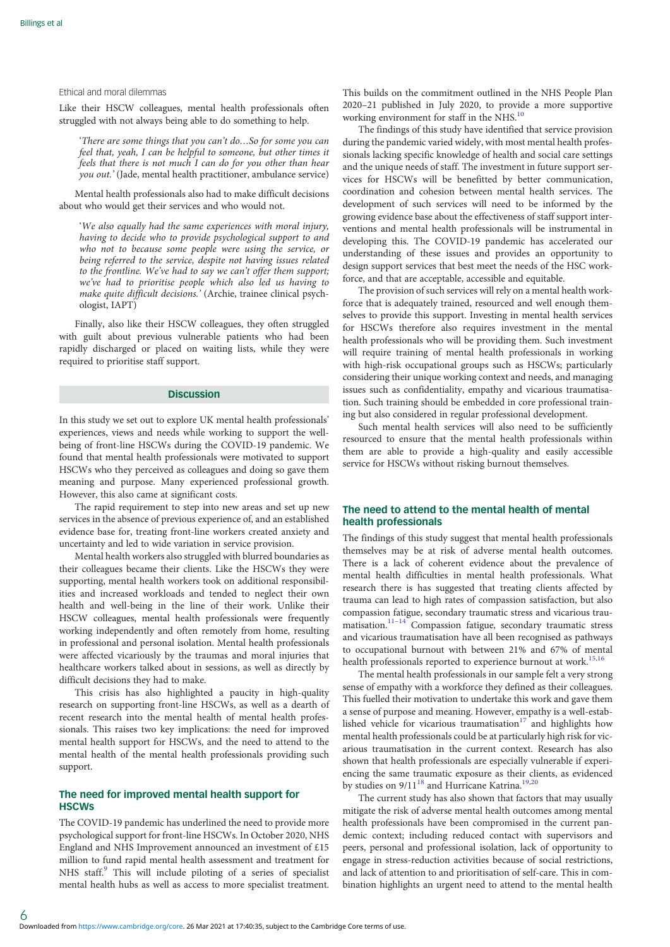#### Ethical and moral dilemmas

Like their HSCW colleagues, mental health professionals often struggled with not always being able to do something to help.

'There are some things that you can't do…So for some you can feel that, yeah, I can be helpful to someone, but other times it feels that there is not much I can do for you other than hear you out.' (Jade, mental health practitioner, ambulance service)

Mental health professionals also had to make difficult decisions about who would get their services and who would not.

'We also equally had the same experiences with moral injury, having to decide who to provide psychological support to and who not to because some people were using the service, or being referred to the service, despite not having issues related to the frontline. We've had to say we can't offer them support; we've had to prioritise people which also led us having to make quite difficult decisions.' (Archie, trainee clinical psychologist, IAPT)

Finally, also like their HSCW colleagues, they often struggled with guilt about previous vulnerable patients who had been rapidly discharged or placed on waiting lists, while they were required to prioritise staff support.

## **Discussion**

In this study we set out to explore UK mental health professionals' experiences, views and needs while working to support the wellbeing of front-line HSCWs during the COVID-19 pandemic. We found that mental health professionals were motivated to support HSCWs who they perceived as colleagues and doing so gave them meaning and purpose. Many experienced professional growth. However, this also came at significant costs.

The rapid requirement to step into new areas and set up new services in the absence of previous experience of, and an established evidence base for, treating front-line workers created anxiety and uncertainty and led to wide variation in service provision.

Mental health workers also struggled with blurred boundaries as their colleagues became their clients. Like the HSCWs they were supporting, mental health workers took on additional responsibilities and increased workloads and tended to neglect their own health and well-being in the line of their work. Unlike their HSCW colleagues, mental health professionals were frequently working independently and often remotely from home, resulting in professional and personal isolation. Mental health professionals were affected vicariously by the traumas and moral injuries that healthcare workers talked about in sessions, as well as directly by difficult decisions they had to make.

This crisis has also highlighted a paucity in high-quality research on supporting front-line HSCWs, as well as a dearth of recent research into the mental health of mental health professionals. This raises two key implications: the need for improved mental health support for HSCWs, and the need to attend to the mental health of the mental health professionals providing such support.

## The need for improved mental health support for **HSCWs**

The COVID-19 pandemic has underlined the need to provide more psychological support for front-line HSCWs. In October 2020, NHS England and NHS Improvement announced an investment of £15 million to fund rapid mental health assessment and treatment for NHS staff.<sup>[9](#page-7-0)</sup> This will include piloting of a series of specialist mental health hubs as well as access to more specialist treatment.

This builds on the commitment outlined in the NHS People Plan 2020–21 published in July 2020, to provide a more supportive working environment for staff in the NHS.<sup>[10](#page-7-0)</sup>

The findings of this study have identified that service provision during the pandemic varied widely, with most mental health professionals lacking specific knowledge of health and social care settings and the unique needs of staff. The investment in future support services for HSCWs will be benefitted by better communication, coordination and cohesion between mental health services. The development of such services will need to be informed by the growing evidence base about the effectiveness of staff support interventions and mental health professionals will be instrumental in developing this. The COVID-19 pandemic has accelerated our understanding of these issues and provides an opportunity to design support services that best meet the needs of the HSC workforce, and that are acceptable, accessible and equitable.

The provision of such services will rely on a mental health workforce that is adequately trained, resourced and well enough themselves to provide this support. Investing in mental health services for HSCWs therefore also requires investment in the mental health professionals who will be providing them. Such investment will require training of mental health professionals in working with high-risk occupational groups such as HSCWs; particularly considering their unique working context and needs, and managing issues such as confidentiality, empathy and vicarious traumatisation. Such training should be embedded in core professional training but also considered in regular professional development.

Such mental health services will also need to be sufficiently resourced to ensure that the mental health professionals within them are able to provide a high-quality and easily accessible service for HSCWs without risking burnout themselves.

# The need to attend to the mental health of mental health professionals

The findings of this study suggest that mental health professionals themselves may be at risk of adverse mental health outcomes. There is a lack of coherent evidence about the prevalence of mental health difficulties in mental health professionals. What research there is has suggested that treating clients affected by trauma can lead to high rates of compassion satisfaction, but also compassion fatigue, secondary traumatic stress and vicarious trau-matisation.<sup>[11](#page-7-0)–[14](#page-7-0)</sup> Compassion fatigue, secondary traumatic stress and vicarious traumatisation have all been recognised as pathways to occupational burnout with between 21% and 67% of mental health professionals reported to experience burnout at work.<sup>[15](#page-7-0),[16](#page-7-0)</sup>

The mental health professionals in our sample felt a very strong sense of empathy with a workforce they defined as their colleagues. This fuelled their motivation to undertake this work and gave them a sense of purpose and meaning. However, empathy is a well-established vehicle for vicarious traumatisation $17$  and highlights how mental health professionals could be at particularly high risk for vicarious traumatisation in the current context. Research has also shown that health professionals are especially vulnerable if experiencing the same traumatic exposure as their clients, as evidenced by studies on  $9/11^{18}$  $9/11^{18}$  $9/11^{18}$  and Hurricane Katrina.<sup>[19](#page-7-0),[20](#page-7-0)</sup>

The current study has also shown that factors that may usually mitigate the risk of adverse mental health outcomes among mental health professionals have been compromised in the current pandemic context; including reduced contact with supervisors and peers, personal and professional isolation, lack of opportunity to engage in stress-reduction activities because of social restrictions, and lack of attention to and prioritisation of self-care. This in combination highlights an urgent need to attend to the mental health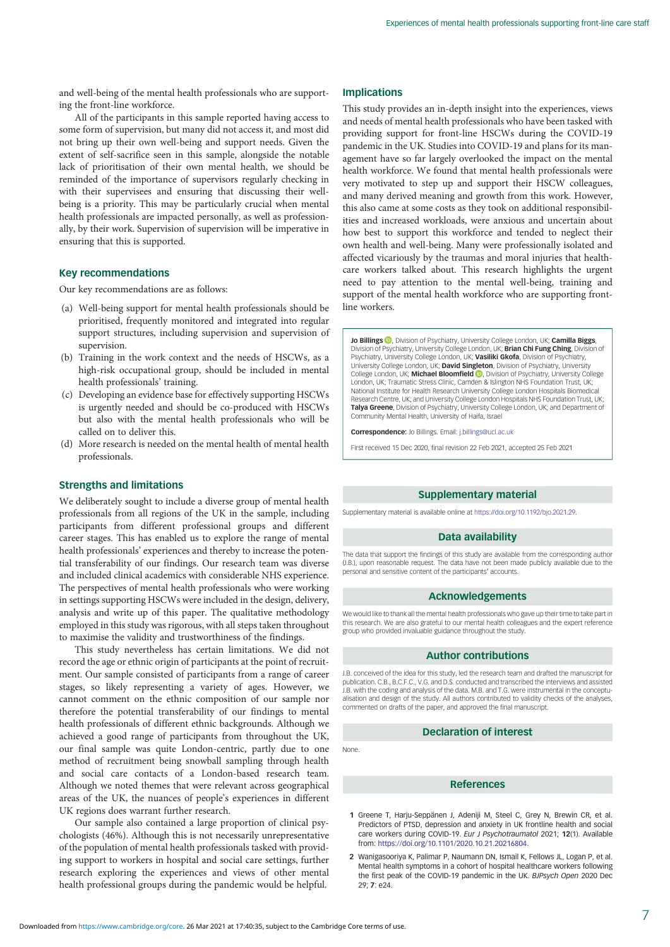<span id="page-6-0"></span>and well-being of the mental health professionals who are supporting the front-line workforce.

All of the participants in this sample reported having access to some form of supervision, but many did not access it, and most did not bring up their own well-being and support needs. Given the extent of self-sacrifice seen in this sample, alongside the notable lack of prioritisation of their own mental health, we should be reminded of the importance of supervisors regularly checking in with their supervisees and ensuring that discussing their wellbeing is a priority. This may be particularly crucial when mental health professionals are impacted personally, as well as professionally, by their work. Supervision of supervision will be imperative in ensuring that this is supported.

## Key recommendations

Our key recommendations are as follows:

- (a) Well-being support for mental health professionals should be prioritised, frequently monitored and integrated into regular support structures, including supervision and supervision of supervision.
- (b) Training in the work context and the needs of HSCWs, as a high-risk occupational group, should be included in mental health professionals' training.
- (c) Developing an evidence base for effectively supporting HSCWs is urgently needed and should be co-produced with HSCWs but also with the mental health professionals who will be called on to deliver this.
- (d) More research is needed on the mental health of mental health professionals.

## Strengths and limitations

We deliberately sought to include a diverse group of mental health professionals from all regions of the UK in the sample, including participants from different professional groups and different career stages. This has enabled us to explore the range of mental health professionals' experiences and thereby to increase the potential transferability of our findings. Our research team was diverse and included clinical academics with considerable NHS experience. The perspectives of mental health professionals who were working in settings supporting HSCWs were included in the design, delivery, analysis and write up of this paper. The qualitative methodology employed in this study was rigorous, with all steps taken throughout to maximise the validity and trustworthiness of the findings.

This study nevertheless has certain limitations. We did not record the age or ethnic origin of participants at the point of recruitment. Our sample consisted of participants from a range of career stages, so likely representing a variety of ages. However, we cannot comment on the ethnic composition of our sample nor therefore the potential transferability of our findings to mental health professionals of different ethnic backgrounds. Although we achieved a good range of participants from throughout the UK, our final sample was quite London-centric, partly due to one method of recruitment being snowball sampling through health and social care contacts of a London-based research team. Although we noted themes that were relevant across geographical areas of the UK, the nuances of people's experiences in different UK regions does warrant further research.

Our sample also contained a large proportion of clinical psychologists (46%). Although this is not necessarily unrepresentative of the population of mental health professionals tasked with providing support to workers in hospital and social care settings, further research exploring the experiences and views of other mental health professional groups during the pandemic would be helpful.

## Implications

This study provides an in-depth insight into the experiences, views and needs of mental health professionals who have been tasked with providing support for front-line HSCWs during the COVID-19 pandemic in the UK. Studies into COVID-19 and plans for its management have so far largely overlooked the impact on the mental health workforce. We found that mental health professionals were very motivated to step up and support their HSCW colleagues, and many derived meaning and growth from this work. However, this also came at some costs as they took on additional responsibilities and increased workloads, were anxious and uncertain about how best to support this workforce and tended to neglect their own health and well-being. Many were professionally isolated and affected vicariously by the traumas and moral injuries that healthcare workers talked about. This research highlights the urgent need to pay attention to the mental well-being, training and support of the mental health workforce who are supporting frontline workers.

Jo Billings **D**, Division of Psychiatry, University College London, UK; Camilla Biggs, Division of Psychiatry, University College London, UK; **Brian Chi Fung Ching**, Division of<br>Psychiatry, University College London, UK; **Vasiliki Gkofa**, Division of Psychiatry, University College London, UK; David Singleton, Division of Psychiatry, University College London[,](https://orcid.org/0000-0002-1972-4610) UK; **Michael Bloomfield ©**, Division of Psychiatry, University College<br>London, UK; Traumatic Stress Clinic, Camden & Islington NHS Foundation Trust, UK; National Institute for Health Research University College London Hospitals Biomedical Research Centre, UK; and University College London Hospitals NHS Foundation Trust, UK; Talya Greene, Division of Psychiatry, University College London, UK; and Department of Community Mental Health, University of Haifa, Israel

Correspondence: Jo Billings. Email: [j.billings@ucl.ac.uk](mailto:j.billings@ucl.ac.uk)

First received 15 Dec 2020, final revision 22 Feb 2021, accepted 25 Feb 2021

#### Supplementary material

Supplementary material is available online at <https://doi.org/10.1192/bjo.2021.29.>

#### Data availability

The data that support the findings of this study are available from the corresponding author (J.B.), upon reasonable request. The data have not been made publicly available due to the personal and sensitive content of the participants' accounts.

#### Acknowledgements

We would like to thank all the mental health professionals who gave up their time to take part in this research. We are also grateful to our mental health colleagues and the expert reference group who provided invaluable guidance throughout the study.

## Author contributions

J.B. conceived of the idea for this study, led the research team and drafted the manuscript for publication. C.B., B.C.F.C., V.G. and D.S. conducted and transcribed the interviews and assisted J.B. with the coding and analysis of the data. M.B. and T.G. were instrumental in the conceptualisation and design of the study. All authors contributed to validity checks of the analyses, commented on drafts of the paper, and approved the final manuscript.

## Declaration of interest

None.

#### References

- 1 Greene T, Harju-Seppänen J, Adeniji M, Steel C, Grey N, Brewin CR, et al. Predictors of PTSD, depression and anxiety in UK frontline health and social care workers during COVID-19. Eur J Psychotraumatol 2021; 12(1). Available from: <https://doi.org/10.1101/2020.10.21.20216804>.
- 2 Wanigasooriya K, Palimar P, Naumann DN, Ismail K, Fellows JL, Logan P, et al. Mental health symptoms in a cohort of hospital healthcare workers following the first peak of the COVID-19 pandemic in the UK. BJPsych Open 2020 Dec 29; 7: e24.